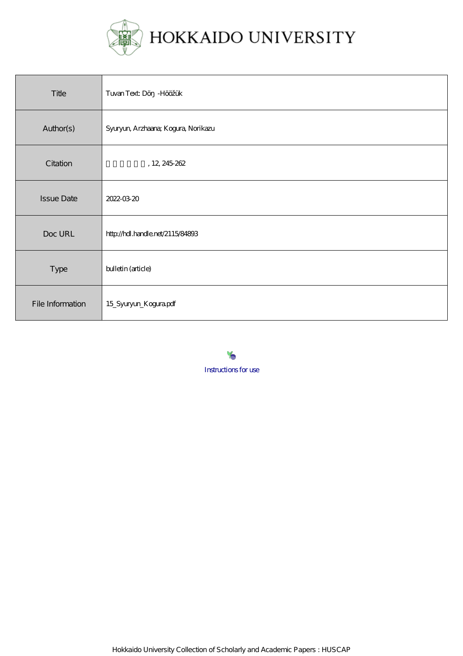

| Title             | Tuvan Text: Dö - Hööžük             |
|-------------------|-------------------------------------|
| Author(s)         | Syuryun, Arzhaana; Kogura, Norikazu |
| Citation          | , 12, 245-262                       |
| <b>Issue Date</b> | 2022-03-20                          |
| Doc URL           | http://hdl.handle.net/2115/84893    |
| Type              | bulletin (article)                  |
| File Information  | 15_Syuryun_Kogurapdf                |

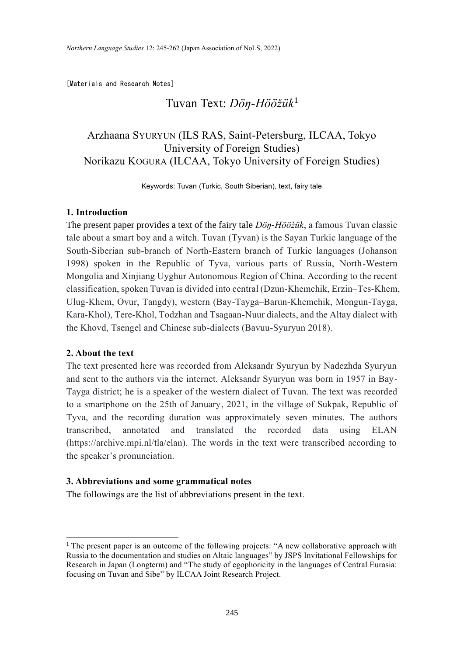[Materials and Research Notes]

# Tuvan Text: *Döŋ-Hööžük*<sup>1</sup>

## Arzhaana SYURYUN (ILS RAS, Saint-Petersburg, ILCAA, Tokyo University of Foreign Studies) Norikazu KOGURA (ILCAA, Tokyo University of Foreign Studies)

Keywords: Tuvan (Turkic, South Siberian), text, fairy tale

### **1. Introduction**

The present paper provides a text of the fairy tale *Döŋ-Hööžük*, a famous Tuvan classic tale about a smart boy and a witch. Tuvan (Tyvan) is the Sayan Turkic language of the South-Siberian sub-branch of North-Eastern branch of Turkic languages (Johanson 1998) spoken in the Republic of Tyva, various parts of Russia, North-Western Mongolia and Xinjiang Uyghur Autonomous Region of China. According to the recent classification, spoken Tuvan is divided into central (Dzun-Khemchik, Erzin–Tes-Khem, Ulug-Khem, Ovur, Tangdy), western (Bay-Tayga–Barun-Khemchik, Mongun-Tayga, Kara-Khol), Tere-Khol, Todzhan and Tsagaan-Nuur dialects, and the Altay dialect with the Khovd, Tsengel and Chinese sub-dialects (Bavuu-Syuryun 2018).

### **2. About the text**

The text presented here was recorded from Aleksandr Syuryun by Nadezhda Syuryun and sent to the authors via the internet. Aleksandr Syuryun was born in 1957 in Bay-Tayga district; he is a speaker of the western dialect of Tuvan. The text was recorded to a smartphone on the 25th of January, 2021, in the village of Sukpak, Republic of Tyva, and the recording duration was approximately seven minutes. The authors transcribed, annotated and translated the recorded data using ELAN (https://archive.mpi.nl/tla/elan). The words in the text were transcribed according to the speaker's pronunciation.

#### **3. Abbreviations and some grammatical notes**

The followings are the list of abbreviations present in the text.

<sup>&</sup>lt;sup>1</sup> The present paper is an outcome of the following projects: "A new collaborative approach with Russia to the documentation and studies on Altaic languages" by JSPS Invitational Fellowships for Research in Japan (Longterm) and "The study of egophoricity in the languages of Central Eurasia: focusing on Tuvan and Sibe" by ILCAA Joint Research Project.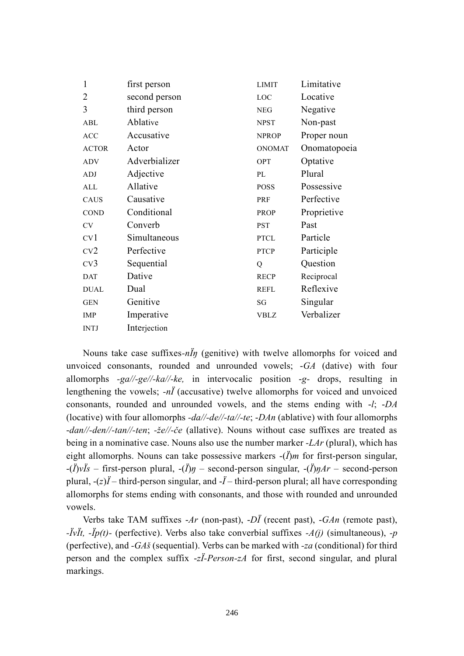| 1               | first person  | <b>LIMIT</b>  | Limitative   |
|-----------------|---------------|---------------|--------------|
| 2               | second person | LOC           | Locative     |
| 3               | third person  | <b>NEG</b>    | Negative     |
| ABL             | Ablative      | <b>NPST</b>   | Non-past     |
| <b>ACC</b>      | Accusative    | <b>NPROP</b>  | Proper noun  |
| <b>ACTOR</b>    | Actor         | <b>ONOMAT</b> | Onomatopoeia |
| <b>ADV</b>      | Adverbializer | OPT           | Optative     |
| ADJ             | Adjective     | PL            | Plural       |
| ALL             | Allative      | <b>POSS</b>   | Possessive   |
| <b>CAUS</b>     | Causative     | PRF           | Perfective   |
| <b>COND</b>     | Conditional   | <b>PROP</b>   | Proprietive  |
| <b>CV</b>       | Converb       | <b>PST</b>    | Past         |
| CV <sub>1</sub> | Simultaneous  | <b>PTCL</b>   | Particle     |
| CV2             | Perfective    | <b>PTCP</b>   | Participle   |
| CV <sub>3</sub> | Sequential    | Q             | Question     |
| <b>DAT</b>      | Dative        | <b>RECP</b>   | Reciprocal   |
| <b>DUAL</b>     | Dual          | <b>REFL</b>   | Reflexive    |
| <b>GEN</b>      | Genitive      | SG            | Singular     |
| IMP             | Imperative    | <b>VBLZ</b>   | Verbalizer   |
| <b>INTJ</b>     | Interjection  |               |              |

Nouns take case suffixes*-nÏŋ* (genitive) with twelve allomorphs for voiced and unvoiced consonants, rounded and unrounded vowels; -*GA* (dative) with four allomorphs *-ga//-ge//-ka//-ke,* in intervocalic position -*g-* drops, resulting in lengthening the vowels; *-nÏ* (accusative) twelve allomorphs for voiced and unvoiced consonants, rounded and unrounded vowels, and the stems ending with -*l*; -*DA* (locative) with four allomorphs *-da//-de//-ta//-te*; -*DAn* (ablative) with four allomorphs -*dan//-den//-tan//-ten*; *-že//-če* (allative). Nouns without case suffixes are treated as being in a nominative case. Nouns also use the number marker *-LAr* (plural), which has eight allomorphs. Nouns can take possessive markers -(*Ï*)*m* for first-person singular, -(*Ï*)*vÏs* – first-person plural, -(*Ï*)*ŋ* – second-person singular, -(*Ï*)*ŋAr* – second-person plural, -(*z*)*Ï* – third-person singular, and -*Ï* – third-person plural; all have corresponding allomorphs for stems ending with consonants, and those with rounded and unrounded vowels.

Verbs take TAM suffixes -*Ar* (non-past), -*DÏ* (recent past), -*GAn* (remote past), *-ÏvÏt, -Ïp(t)-* (perfective). Verbs also take converbial suffixes *-A(j)* (simultaneous), *-p* (perfective), and *-GAš* (sequential). Verbs can be marked with *-za* (conditional) for third person and the complex suffix -*zÏ-Person-zA* for first, second singular, and plural markings.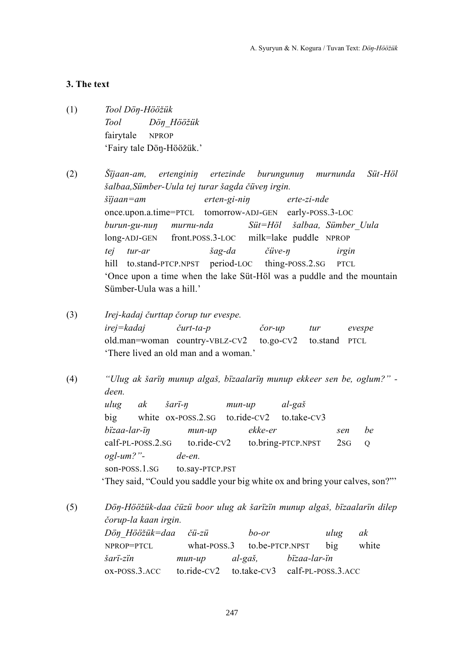## **3. The text**

(1) *Tool Döŋ-Hööžük Tool Döŋ\_Hööžük* fairytale NPROP 'Fairy tale Döŋ-Hööžük.'

(2) *Šïjaan-am, ertenginiŋ ertezinde burungunuŋ murnunda Süt-Höl šalbaa,Sümber-Uula tej turar šagda čüveŋ irgin. šïjaan=am erten-gi-niŋ erte-zi-nde* once.upon.a.time=PTCL tomorrow-ADJ-GEN early-POSS.3-LOC *burun-gu-nuŋ murnu-nda Süt=Höl šalbaa, Sümber\_Uula* long-ADJ-GEN front.POSS.3-LOC milk=lake puddle NPROP *tej tur-ar šag-da čüve-ŋ irgin* hill to.stand-PTCP.NPST period-LOC thing-POSS.2.SG PTCL 'Once upon a time when the lake Süt-Höl was a puddle and the mountain Sümber-Uula was a hill.'

- (3) *Irej-kadaj čurttap čorup tur evespe. irej=kadaj čurt-ta-p čor-up tur evespe* old.man=woman country-VBLZ-CV2 to.go-CV2 to.stand PTCL 'There lived an old man and a woman.'
- (4) *"Ulug ak šarïŋ munup algaš, bïzaalarïŋ munup ekkeer sen be, oglum?ˮ deen. ulug ak šarï-ŋ mun-up al-gaš* big white ox-POSS.2.SG to.ride-CV2 to.take-CV3 *bïzaa-lar-ïŋ mun-up ekke-er sen be* calf-PL-POSS.2.SG to.ride-CV2 to.bring-PTCP.NPST 2SG Q *ogl-um?ˮ- de-en.* son-POSS.1.SG to.say-PTCP.PST 'They said, "Could you saddle your big white ox and bring your calves, son?"'

(5) *Döŋ-Hööžük-daa čüzü boor ulug ak šarïzïn munup algaš, bïzaalarïn dilep čorup-la kaan irgin.*

| Dön Hööžük=daa čü-zü                                     |                                       | bo-or | ulug | ak    |
|----------------------------------------------------------|---------------------------------------|-------|------|-------|
| NPROP=PTCL                                               | what- $Poss.3$ to.be- $PTCP.NPST$ big |       |      | white |
| šari-zin                                                 | mun-up al-gaš, bizaa-lar-in           |       |      |       |
| ox-POSS.3.ACC to.ride-CV2 to.take-CV3 calf-PL-POSS.3.ACC |                                       |       |      |       |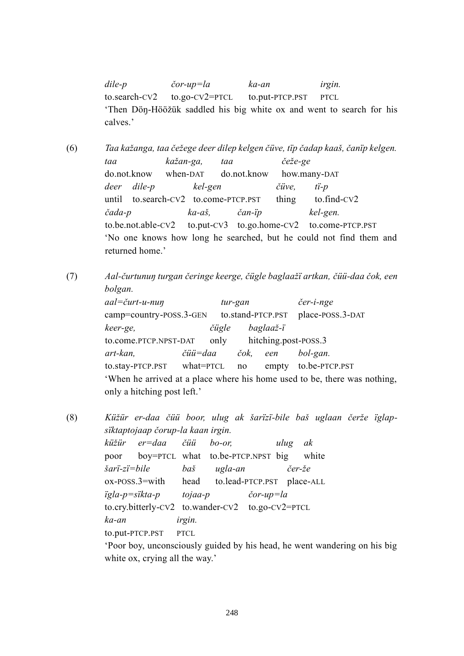*dile-p čor-up=la ka-an irgin.* to.search-CV2 to.go-CV2=PTCL to.put-PTCP.PST PTCL 'Then Döŋ-Hööžük saddled his big white ox and went to search for his calves.'

(6) *Taa kažanga, taa čežege deer dilep kelgen čüve, tïp čadap kaaš, čanïp kelgen. taa kažan-ga, taa čeže-ge* do.not.know when-DAT do.not.know how.many-DAT *deer dile-p kel-gen čüve, tï-p* until to.search-CV2 to.come-PTCP.PST thing to.find-CV2 *čada-p ka-aš, čan-ïp kel-gen.* to.be.not.able-CV2 to.put-CV3 to.go.home-CV2 to.come-PTCP.PST 'No one knows how long he searched, but he could not find them and returned home.'

(7) *Aal-čurtunuŋ turgan čeringe keerge, čügle baglaažï artkan, čüü-daa čok, een bolgan.*

> *aal=čurt-u-nuŋ tur-gan čer-i-nge* camp=country-POSS.3-GEN to.stand-PTCP.PST place-POSS.3-DAT *keer-ge, čügle baglaaž-ï* to.come.PTCP.NPST-DAT only hitching.post-POSS.3 *art-kan, čüü=daa čok, een bol-gan.* to.stay-PTCP.PST what=PTCL no empty to.be-PTCP.PST 'When he arrived at a place where his home used to be, there was nothing, only a hitching post left.'

(8) *Küžür er-daa čüü boor, ulug ak šarïzï-bile baš uglaan čerže ïglapsïktaptojaap čorup-la kaan irgin. küžür er=daa čüü bo-or, ulug ak* poor boy=PTCL what to.be-PTCP.NPST big white *šarï-zï=bile baš ugla-an čer-že* ox-POSS.3=with head to.lead-PTCP.PST place-ALL *ïgla-p=sïkta-p tojaa-p čor-up=la* to.cry.bitterly-CV2 to.wander-CV2 to.go-CV2=PTCL *ka-an irgin.* to.put-PTCP.PST PTCL 'Poor boy, unconsciously guided by his head, he went wandering on his big white ox, crying all the way.'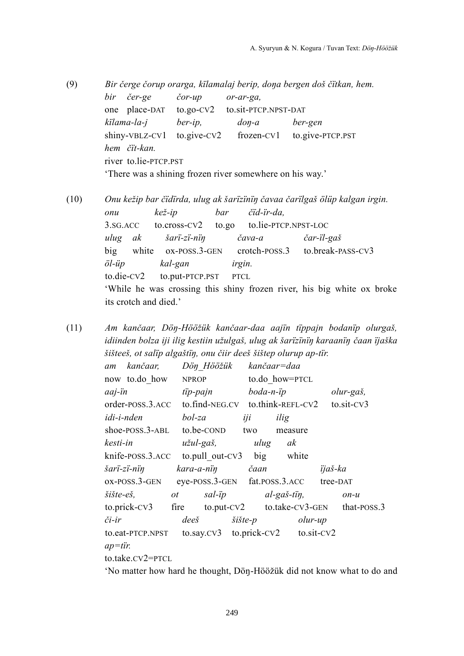- (9) *Bir čerge čorup orarga, kïlamalaj berip, doŋa bergen doš čïtkan, hem. bir čer-ge čor-up or-ar-ga,* one place-DAT to.go-CV2 to.sit-PTCP.NPST-DAT *kïlama-la-j ber-ip, doŋ-a ber-gen* shiny-VBLZ-CV1 to.give-CV2 frozen-CV1 to.give-PTCP.PST *hem čït-kan.* river to.lie-PTCP.PST 'There was a shining frozen river somewhere on his way.'
- 

(10) *Onu kežip bar čïdïrda, ulug ak šarïzïnïŋ čavaa čarïlgaš ölüp kalgan irgin. onu kež-ip bar čïd-ïr-da,* 3.SG.ACC to.cross-CV2 to.go to.lie-PTCP.NPST-LOC *ulug ak šarï-zï-nïŋ čava-a čar-ïl-gaš* big white ox-POSS.3-GEN crotch-POSS.3 to.break-PASS-CV3 *öl-üp kal-gan irgin.* to.die-CV2 to.put-PTCP.PST PTCL 'While he was crossing this shiny frozen river, his big white ox broke its crotch and died.'

(11) *Am kančaar, Döŋ-Hööžük kančaar-daa aajïn tïppajn bodanïp olurgaš, idiinden bolza iji ilig kestiin užulgaš, ulug ak šarïzïnïŋ karaanïŋ čaan ïjaška šišteeš, ot salïp algaštïŋ, onu čiir deeš šištep olurup ap-tïr.*

| am         | kančaar,                |              | Dön Hööžük     |                 |           | kančaar=daa                         |          |                                        |
|------------|-------------------------|--------------|----------------|-----------------|-----------|-------------------------------------|----------|----------------------------------------|
|            | now to.do how           | <b>NPROP</b> |                |                 |           | to.do how=PTCL                      |          |                                        |
| aaj-ïn     |                         | tip-pajn     |                |                 | boda-n-ip |                                     |          | olur-gaš,                              |
|            | order-POSS.3.ACC        |              |                |                 |           | $to$ .find-NEG.CV to.think-REFL-CV2 |          | to.sit-CV3                             |
| idi-i-nden |                         | bol-za       |                | iji             |           | ilig                                |          |                                        |
|            | shoe-POSS.3-ABL         |              | to.be-COND     | two             |           | measure                             |          |                                        |
| kesti-in   |                         |              | užul-gaš,      |                 | ulug      | ak                                  |          |                                        |
|            | knife-POSS.3.ACC        |              |                |                 |           | to.pull out-CV3 big white           |          |                                        |
|            | šarï-zï-nïŋ             |              |                | kara-a-nin čaan |           |                                     | ijaš-ka  |                                        |
|            | ox-POSS.3-GEN           |              |                |                 |           | eye-POSS.3-GEN fat.POSS.3.ACC       | tree-DAT |                                        |
| šište-eš,  |                         | ot           |                | sal-ip          |           | $al-ga\check{s}$ -tin,              |          | $on-u$                                 |
|            | $to.$ prick- $CV3$ fire |              |                |                 |           |                                     |          | to.put-CV2 to.take-CV3-GEN that-POSS.3 |
| či-ir      |                         |              | $dee\check{s}$ | šište-p         |           | olur-up                             |          |                                        |
|            | to.eat-PTCP.NPST        |              |                |                 |           | to.say.cv3 to.prick-cv2 to.sit-cv2  |          |                                        |
| $ap= tir.$ |                         |              |                |                 |           |                                     |          |                                        |
|            | to.take.CV2=PTCL        |              |                |                 |           |                                     |          |                                        |

'No matter how hard he thought, Döŋ-Hööžük did not know what to do and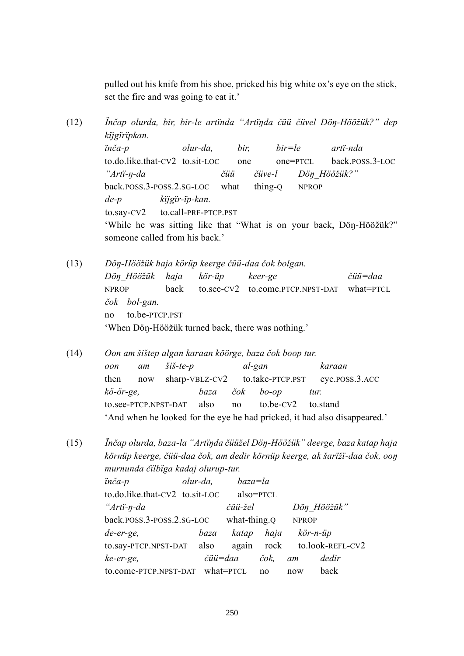pulled out his knife from his shoe, pricked his big white ox's eye on the stick, set the fire and was going to eat it.'

(12) *Ïnčap olurda, bir, bir-le artïnda "Artïŋda čüü čüvel Döŋ-Hööžük?ˮ dep kïjgïrïpkan. ïnča-p olur-da, bir, bir=le artï-nda* to.do.like.that-CV2 to.sit-LOC one one=PTCL back.POSS.3-LOC *"Artï-ŋ-da čüü čüve-l Döŋ\_Hööžük?ˮ* back.POSS.3-POSS.2.SG-LOC what thing-Q NPROP *de-p kïjgïr-ïp-kan.* to.say-CV2 to.call-PRF-PTCP.PST 'While he was sitting like that "What is on your back, Dön-Hööžük?" someone called from his back.' (13) *Döŋ-Hööžük haja körüp keerge čüü-daa čok bolgan.*

*Döŋ\_Hööžük haja kör-üp keer-ge čüü=daa* NPROP back to.see-CV2 to.come.PTCP.NPST-DAT what=PTCL *čok bol-gan.* no to.be-PTCP.PST 'When Döŋ-Hööžük turned back, there was nothing.'

(14) *Oon am šištep algan karaan köörge, baza čok boop tur. oon am šiš-te-p al-gan karaan* then now sharp-VBLZ-CV2 to.take-PTCP.PST eye.POSS.3.ACC *kö-ör-ge, baza čok bo-op tur.* to.see-PTCP.NPST-DAT also no to.be-CV2 to.stand 'And when he looked for the eye he had pricked, it had also disappeared.'

(15) *Ïnčap olurda, baza-la "Artïŋda čüüžel Döŋ-Hööžükˮ deerge, baza katap haja körnüp keerge, čüü-daa čok, am dedir körnüp keerge, ak šarïžï-daa čok, ooŋ murnunda čïlbïga kadaj olurup-tur.*

| inča-p                          | olur-da, | $baza = la$  |           |              |                             |
|---------------------------------|----------|--------------|-----------|--------------|-----------------------------|
| to.do.like.that-CV2 to.sit-LOC  |          |              | also=PTCL |              |                             |
| "Arti-n-da                      |          | čüü-žel      |           |              | Dön Hööžük"                 |
| back.poss.3-poss.2.sG-LOC       |          | what-thing.Q |           | <b>NPROP</b> |                             |
| de-er-ge,                       | baza     | katap        | haja      |              | kör-n-üp                    |
| to.say-PTCP.NPST-DAT also       |          |              |           |              | again rock to.look-REFL-CV2 |
| ke-er-ge,                       | čüü=daa  |              | čok,      | am           | dedir                       |
| to.come-PTCP.NPST-DAT what=PTCL |          |              | no        | now          | back                        |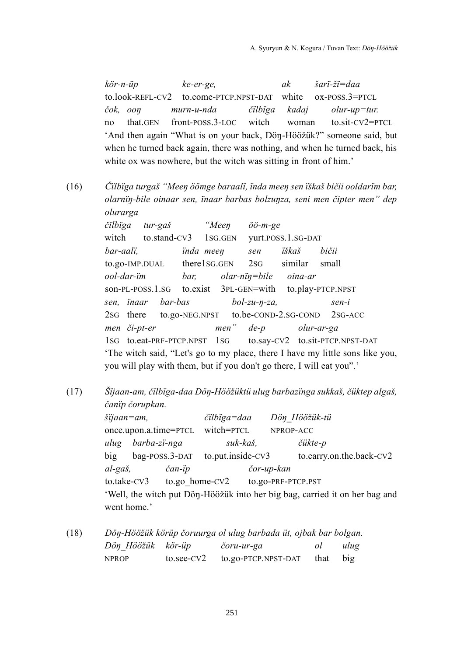*kör-n-üp ke-er-ge, ak šarï-žï=daa* to.look-REFL-CV2 to.come-PTCP.NPST-DAT white ox-POSS.3=PTCL *čok, ooŋ murn-u-nda čïlbïga kadaj olur-up=tur.* no that.GEN front-POSS.3-LOC witch woman to.sit-CV2=PTCL 'And then again "What is on your back, Dön-Hööžük?" someone said, but when he turned back again, there was nothing, and when he turned back, his white ox was nowhere, but the witch was sitting in front of him.'

(16) *Čïlbïga turgaš "Meeŋ öömge baraalï, ïnda meeŋ sen ïškaš bičii ooldarïm bar, olarnïŋ-bile oinaar sen, ïnaar barbas bolzuŋza, seni men čipter menˮ dep olurarga*

> *čïlbïga tur-gaš "Meeŋ öö-m-ge* witch to.stand-CV3 1SG.GEN yurt.POSS.1.SG-DAT *bar-aalï, ïnda meeŋ sen ïškaš bičii* to.go-IMP.DUAL there1SG.GEN 2SG similar small *ool-dar-ïm bar, olar-nïŋ=bile oina-ar* son-PL-POSS.1.SG to.exist 3PL-GEN=with to.play-PTCP.NPST *sen, ïnaar bar-bas bol-zu-ŋ-za, sen-i* 2SG there to.go-NEG.NPST to.be-COND-2.SG-COND 2SG-ACC *men či-pt-er menˮ de-p olur-ar-ga* 1SG to.eat-PRF-PTCP.NPST 1SG to.say-CV2 to.sit-PTCP.NPST-DAT 'The witch said, "Let's go to my place, there I have my little sons like you, you will play with them, but if you don't go there, I will eat you".'

(17) *Šïjaan-am, čïlbïga-daa Döŋ-Hööžüktü ulug barbazïnga sukkaš, čüktep algaš, čanïp čorupkan.*

> *šïjaan=am, čïlbïga=daa Döŋ\_Hööžük-tü* once.upon.a.time=PTCL witch=PTCL NPROP-ACC *ulug barba-zï-nga suk-kaš, čükte-p* big bag-POSS.3-DAT to.put.inside-CV3 to.carry.on.the.back-CV2 *al-gaš, čan-ïp čor-up-kan* to.take-CV3 to.go home-CV2 to.go-PRF-PTCP.PST 'Well, the witch put Döŋ-Hööžük into her big bag, carried it on her bag and went home.'

(18) *Döŋ-Hööžük körüp čoruurga ol ulug barbada üt, ojbak bar bolgan. Döŋ\_Hööžük kör-üp čoru-ur-ga ol ulug* NPROP to.see-CV2 to.go-PTCP.NPST-DAT that big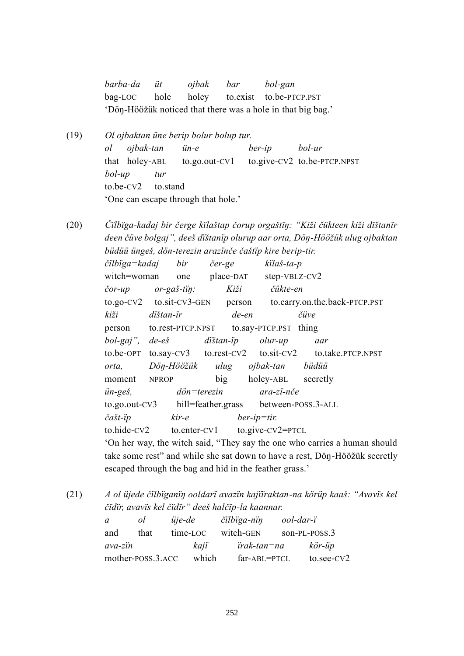*barba-da üt ojbak bar bol-gan* bag-LOC hole holey to.exist to.be-PTCP.PST 'Döŋ-Hööžük noticed that there was a hole in that big bag.'

(19) *Ol ojbaktan üne berip bolur bolup tur. ol ojbak-tan ün-e ber-ip bol-ur* that holey-ABL to.go.out-CV1 to.give-CV2 to.be-PTCP.NPST *bol-up tur* to.be-CV2 to.stand 'One can escape through that hole.'

(20) *Čïlbïga-kadaj bir čerge kïlaštap čorup orgaštïŋ: "Kiži čükteen kiži dïštanïr deen čüve bolgajˮ, deeš dïštanïp olurup aar orta, Döŋ-Hööžük ulug ojbaktan büdüü üngeš, dön-terezin arazïnče čaštïp kire berip-tir.*

> *čïlbïga=kadaj bir čer-ge kïlaš-ta-p* witch=woman one place-DAT step-VBLZ-CV2 *čor-up or-gaš-tïŋ: Kiži čükte-en* to.go-CV2 to.sit-CV3-GEN person to.carry.on.the.back-PTCP.PST *kiži dïštan-ïr de-en čüve* person to.rest-PTCP.NPST to.say-PTCP.PST thing *bol-gajˮ, de-eš dïštan-ïp olur-up aar* to.be-OPT to.say-CV3 to.rest-CV2 to.sit-CV2 to.take.PTCP.NPST *orta, Döŋ-Hööžük ulug ojbak-tan büdüü* moment NPROP big holey-ABL secretly *ün-geš, dön=terezin ara-zï-nče* to.go.out-CV3 hill=feather.grass between-POSS.3-ALL *čašt-ïp kir-e ber-ip=tir.* to.hide-CV2 to.enter-CV1 to.give-CV2=PTCL 'On her way, the witch said, "They say the one who carries a human should take some rest" and while she sat down to have a rest, Dön-Hööžük secretly escaped through the bag and hid in the feather grass.'

(21) *A ol üjede čïlbïganïŋ ooldarï avazïn kajïïraktan-na körüp kaaš: "Avavïs kel čïdïr, avavïs kel čïdïrˮ deeš halčïp-la kaannar.*

> *a ol üje-de čïlbïga-nïŋ ool-dar-ï* and that time-LOC witch-GEN son-PL-POSS.3 *ava-zïn kajï ïrak-tan=na kör-üp* mother-POSS.3.ACC which far-ABL=PTCL to.see-CV2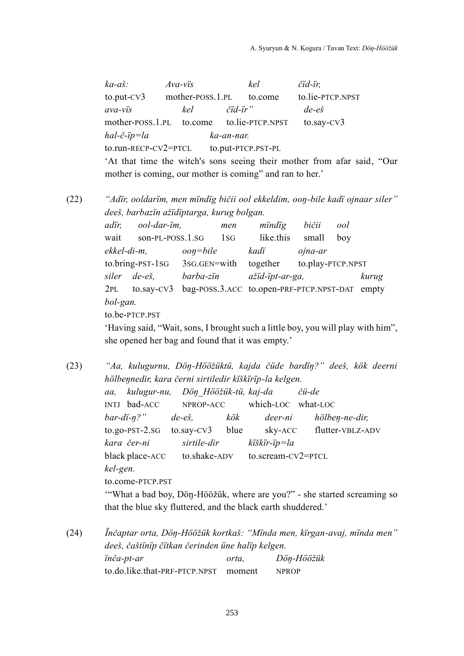*ka-aš: Ava-vïs kel čïd-ïr,* to.put-CV3 mother-POSS.1.PL to.come to.lie-PTCP.NPST *ava-vïs kel čïd-ïrˮ de-eš* mother-POSS.1.PL to.come to.lie-PTCP.NPST to.say-CV3 *hal-č-ïp=la ka-an-nar.* to.run-RECP-CV2=PTCL to.put-PTCP.PST-PL 'At that time the witch's sons seeing their mother from afar said, "Our mother is coming, our mother is coming" and ran to her.'

(22) *"Adïr, ooldarïm, men mïndïg bičii ool ekkeldim, ooŋ-bile kadï ojnaar silerˮ deeš, barbazïn ažïdïptarga, kurug bolgan.*

> *adïr, ool-dar-ïm, men mïndïg bičii ool* wait son-PL-POSS.1.SG 1SG like.this small boy *ekkel-di-m, ooŋ=bile kadï ojna-ar* to.bring-PST-1SG 3SG.GEN=with together to.play-PTCP.NPST *siler de-eš, barba-zïn ažïd-ïpt-ar-ga, kurug* 2PL to.say-CV3 bag-POSS.3.ACC to.open-PRF-PTCP.NPST-DAT empty *bol-gan.* to.be-PTCP.PST

'Having said, "Wait, sons, I brought such a little boy, you will play with himˮ, she opened her bag and found that it was empty.'

(23) *"Aa, kulugurnu, Döŋ-Hööžüktü, kajda čüde bardïŋ?ˮ deeš, kök deerni hölbeŋnedir, kara černi sirtiledir kïškïrïp-la kelgen. aa, kulugur-nu, Döŋ\_Hööžük-tü, kaj-da čü-de* INTJ bad-ACC NPROP-ACC which-LOC what-LOC *bar-dï-ŋ?ˮ de-eš, kök deer-ni hölbeŋ-ne-dir,* to.go-PST-2.SG to.say-CV3 blue sky-ACC flutter-VBLZ-ADV *kara čer-ni sirtile-dir kïškïr-ïp=la* black place-ACC to.shake-ADV to.scream-CV2=PTCL *kel-gen.* to.come-PTCP.PST "What a bad boy, Dön-Hööžük, where are you?" - she started screaming so that the blue sky fluttered, and the black earth shuddered.'

<sup>(24)</sup> *Ïnčaptar orta, Döŋ-Hööžük kortkaš: "Mïnda men, kïrgan-avaj, mïnda menˮ deeš, čaštïnïp čïtkan čerinden üne halïp kelgen. ïnča-pt-ar orta, Döŋ-Hööžük* to.do.like.that-PRF-PTCP.NPST moment NPROP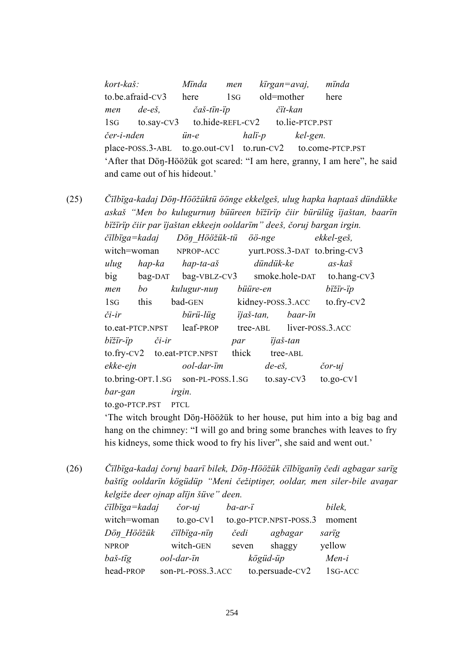*kort-kaš: Mïnda men kïrgan=avaj, mïnda* to.be.afraid-CV3 here 1SG old=mother here *men de-eš, čaš-tïn-ïp čït-kan* 1SG to.say-CV3 to.hide-REFL-CV2 to.lie-PTCP.PST *čer-i-nden ün-e halï-p kel-gen.* place-POSS.3-ABL to.go.out-CV1 to.run-CV2 to.come-PTCP.PST 'After that Dön-Hööžük got scared: "I am here, granny, I am here", he said and came out of his hideout.'

(25) *Čïlbïga-kadaj Döŋ-Hööžüktü öönge ekkelgeš, ulug hapka haptaaš dündükke askaš "Men bo kulugurnuŋ büüreen bïžïrïp čiir bürülüg ïjaštan, baarïn bïžïrïp čiir par ïjaštan ekkeejn ooldarïmˮ deeš, čoruj bargan irgin.*

| čïlbïga=kadaj    |                  | Dön Hööžük-tü                      |       | öö-nge            |                  | ekkel-geš,                   |
|------------------|------------------|------------------------------------|-------|-------------------|------------------|------------------------------|
| witch=woman      |                  | NPROP-ACC                          |       |                   |                  | yurt.poss.3-DAT to.bring-CV3 |
| ulug             | hap-ka           | hap-ta-aš                          |       | dündük-ke         |                  | $as-ka\check{s}$             |
| big              | bag-DAT          | bag-VBLZ-CV3                       |       |                   |                  | smoke.hole-DAT to.hang-CV3   |
| men              | bo               | kulugur-nun                        |       | büüre-en          |                  | bižir-ip                     |
| 1sG              | this             | bad-GEN                            |       | kidney-poss.3.ACC |                  | $to.$ fry- $CV2$             |
| či-ir            |                  | bürü-lüg                           |       | ijaš-tan,         | baar-in          |                              |
| to.eat-PTCP.NPST |                  | leaf-PROP                          |       | tree-ABL          |                  | liver-poss.3.ACC             |
| bïžïr-ïp         | $\check{c}$ i-ir |                                    | par   |                   | ijaš-tan         |                              |
|                  |                  | $to.$ fry-CV2 to.eat-PTCP.NPST     | thick |                   | tree-ABL         |                              |
| ekke-ejn         |                  | ool-dar-im                         |       | $de-e\check{s}$ , |                  | čor-uj                       |
|                  |                  | to.bring-OPT.1.SG son-PL-POSS.1.SG |       |                   | $to$ .say- $cv3$ | $to.gov$ -CV $1$             |
| bar-gan          |                  | irgin.                             |       |                   |                  |                              |
| to.go-PTCP.PST   |                  | <b>PTCL</b>                        |       |                   |                  |                              |

'The witch brought Döŋ-Hööžük to her house, put him into a big bag and hang on the chimney: "I will go and bring some branches with leaves to fry his kidneys, some thick wood to fry his liver", she said and went out.'

(26) *Čïlbïga-kadaj čoruj baarï bilek, Döŋ-Hööžük čïlbïganïŋ čedi agbagar sarïg baštïg ooldarïn kögüdüp "Meni čežiptiŋer, ooldar, men siler-bile avaŋar kelgiže deer ojnap alïjn šüveˮ deen.*

| čïlbïga=kadaj | $\check{c}$ or-uj | $ba-ar-i$ |                        | bilek,  |
|---------------|-------------------|-----------|------------------------|---------|
| witch=woman   | $to.gov$ -CV $1$  |           | to.go-PTCP.NPST-POSS.3 | moment  |
| Dön Hööžük    | čilbiga-nin       | čedi      | agbagar                | sarig   |
| <b>NPROP</b>  | witch-GEN         | seven     | shaggy                 | yellow  |
| baš-tig       | ool-dar-in        |           | kögüd-üp               | $Men-i$ |
| head-PROP     | son-PL-POSS.3.ACC |           | to.persuade-CV2        | 1sG-ACC |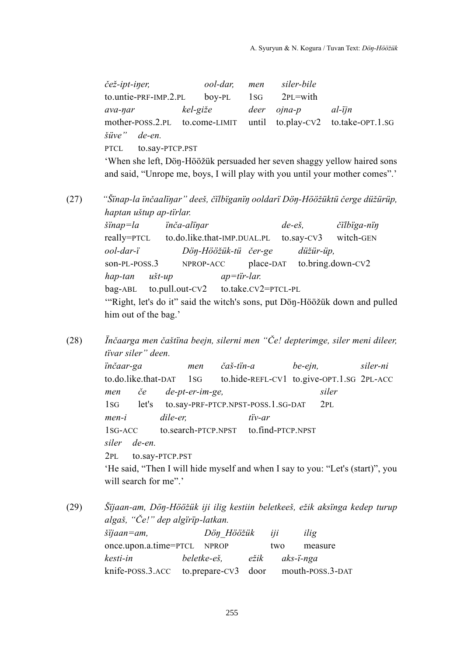*čež-ipt-iŋer, ool-dar, men siler-bile* to.untie-PRF-IMP.2.PL boy-PL 1SG 2PL=with *ava-ŋar kel-giže deer ojna-p al-ïjn* mother-POSS.2.PL to.come-LIMIT until to.play-CV2 to.take-OPT.1.SG *šüveˮ de-en.* PTCL to.say-PTCP.PST 'When she left, Döŋ-Hööžük persuaded her seven shaggy yellow haired sons

and said, "Unrope me, boys, I will play with you until your mother comes".'

(27) *"Šïnap-la ïnčaalïŋarˮ deeš, čïlbïganïŋ ooldarï Döŋ-Hööžüktü čerge düžürüp, haptan uštup ap-tïrlar.*

> *šïnap=la ïnča-alïŋar de-eš, čïlbïga-nïŋ* really=PTCL to.do.like.that-IMP.DUAL.PL to.say-CV3 witch-GEN *ool-dar-ï Döŋ-Hööžük-tü čer-ge düžür-üp,* son-PL-POSS.3 NPROP-ACC place-DAT to.bring.down-CV2 *hap-tan ušt-up ap=tïr-lar.* bag-ABL to.pull.out-CV2 to.take.CV2=PTCL-PL "Right, let's do it" said the witch's sons, put Dön-Hööžük down and pulled him out of the bag.'

(28) *Ïnčaarga men čaštïna beejn, silerni men "Če! depterimge, siler meni dileer, tïvar silerˮ deen.*

> *ïnčaar-ga men čaš-tïn-a be-ejn, siler-ni* to.do.like.that-DAT 1SG to.hide-REFL-CV1 to.give-OPT.1.SG 2PL-ACC *men če de-pt-er-im-ge, siler* 1SG let's to.say-PRF-PTCP.NPST-POSS.1.SG-DAT 2PL *men-i dile-er, tïv-ar* 1SG-ACC to.search-PTCP.NPST to.find-PTCP.NPST *siler de-en.* 2PL to.say-PTCP.PST 'He said, "Then I will hide myself and when I say to you: "Let's (start)", you

will search for me".'

(29) *Šïjaan-am, Döŋ-Hööžük iji ilig kestiin beletkeeš, ežik aksïnga kedep turup algaš, "Če!ˮ dep algïrïp-latkan.*

| $šijaan = am$ ,                                       | Dön Hööžük iji |                | ilig    |
|-------------------------------------------------------|----------------|----------------|---------|
| once.upon.a.time=PTCL NPROP                           |                | two            | measure |
| kesti-in                                              | beletke-eš,    | ežik aks-ï-nga |         |
| knife-poss.3.ACC to.prepare-CV3 door mouth-poss.3-DAT |                |                |         |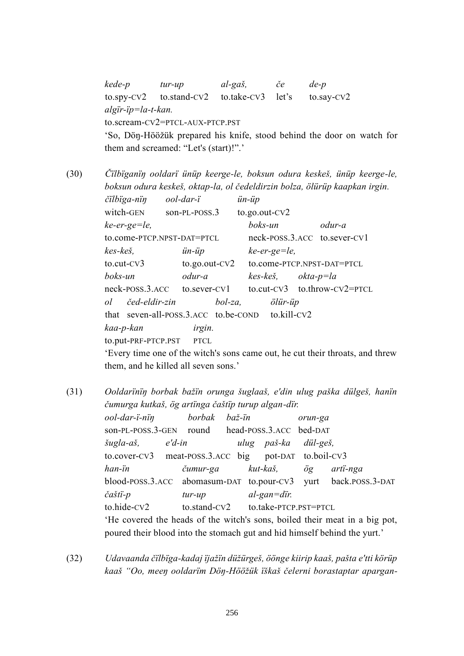*kede-p tur-up al-gaš, če de-p* to.spy-CV2 to.stand-CV2 to.take-CV3 let's to.say-CV2 *algïr-ïp=la-t-kan.* to.scream-CV2=PTCL-AUX-PTCP.PST 'So, Döŋ-Hööžük prepared his knife, stood behind the door on watch for them and screamed: "Let's (start)!".'

(30) *Čïlbïganïŋ ooldarï ünüp keerge-le, boksun odura keskeš, ünüp keerge-le, boksun odura keskeš, oktap-la, ol čedeldirzin bolza, ölürüp kaapkan irgin.*

> *čïlbïga-nïŋ ool-dar-ï ün-üp* witch-GEN son-PL-POSS.3 to.go.out-CV2 *ke-er-ge=le, boks-un odur-a* to.come-PTCP.NPST-DAT=PTCL neck-POSS.3.ACC to.sever-CV1 *kes-keš, ün-üp ke-er-ge=le,* to.cut-CV3 to.go.out-CV2 to.come-PTCP.NPST-DAT=PTCL *boks-un odur-a kes-keš, okta-p=la* neck-POSS.3.ACC to.sever-CV1 to.cut-CV3 to.throw-CV2=PTCL *ol čed-eldir-zin bol-za, ölür-üp* that seven-all-POSS.3.ACC to.be-COND to.kill-CV2 *kaa-p-kan irgin.* to.put-PRF-PTCP.PST PTCL

'Every time one of the witch's sons came out, he cut their throats, and threw them, and he killed all seven sons.'

(31) *Ooldarïnïŋ borbak bažïn orunga šuglaaš, e'din ulug paška dülgeš, hanïn čumurga kutkaš, ög artïnga čaštïp turup algan-dïr. ool-dar-ï-nïŋ borbak baž-ïn orun-ga* son-PL-POSS.3-GEN round head-POSS.3.ACC bed-DAT *šugla-aš, e'd-in ulug paš-ka dül-geš,* to.cover-CV3 meat-POSS.3.ACC big pot-DAT to.boil-CV3 *han-ïn čumur-ga kut-kaš, ög artï-nga* blood-POSS.3.ACC abomasum-DAT to.pour-CV3 yurt back.POSS.3-DAT *čaštï-p tur-up al-gan=dïr.* to.hide-CV2 to.stand-CV2 to.take-PTCP.PST=PTCL 'He covered the heads of the witch's sons, boiled their meat in a big pot, poured their blood into the stomach gut and hid himself behind the yurt.'

(32) *Udavaanda čïlbïga-kadaj ïjažïn düžürgeš, öönge kiirip kaaš, pašta e'tti körüp kaaš "Oo, meeŋ ooldarïm Döŋ-Hööžük ïškaš čelerni borastaptar apargan-*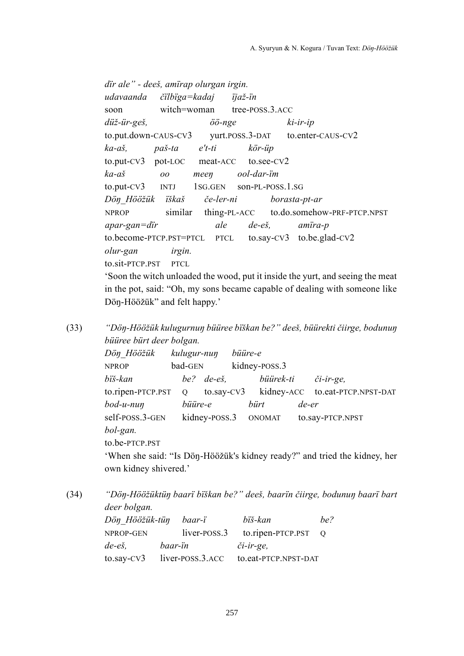*dïr aleˮ - deeš, amïrap olurgan irgin. udavaanda čïlbïga=kadaj ïjaž-ïn* soon witch=woman tree-POSS.3.ACC *düž-ür-geš, öö-nge ki-ir-ip*  to.put.down-CAUS-CV3 yurt.POSS.3-DAT to.enter-CAUS-CV2 *ka-aš, paš-ta e't-ti kör-üp* to.put-CV3 pot-LOC meat-ACC to.see-CV2 *ka-aš oo meeŋ ool-dar-ïm* to.put-CV3 INTJ 1SG.GEN son-PL-POSS.1.SG *Döŋ\_Hööžük ïškaš če-ler-ni borasta-pt-ar* NPROP similar thing-PL-ACC to.do.somehow-PRF-PTCP.NPST *apar-gan=dïr ale de-eš, amïra-p* to.become-PTCP.PST=PTCL PTCL to.say-CV3 to.be.glad-CV2 *olur-gan irgin.* to.sit-PTCP.PST PTCL 'Soon the witch unloaded the wood, put it inside the yurt, and seeing the meat in the pot, said: "Oh, my sons became capable of dealing with someone like Dön-Hööžük" and felt happy.'

(33) *"Döŋ-Hööžük kulugurnuŋ büüree bïškan be?ˮ deeš, büürekti čiirge, bodunuŋ büüree bürt deer bolgan.*

| Dön Hööžük               | kulugur-nun |                       | büüre-e |                      |       |                                                                           |
|--------------------------|-------------|-----------------------|---------|----------------------|-------|---------------------------------------------------------------------------|
| <b>NPROP</b>             | bad-GEN     |                       |         | kidney-POSS.3        |       |                                                                           |
| bïš-kan                  |             | be? $de-e\check{s}$ , |         | büürek-ti            |       | $či-ir-ge,$                                                               |
| $to$ .ripen-PTCP.PST $Q$ |             |                       |         |                      |       | to.say-CV3 kidney-ACC to.eat-PTCP.NPST-DAT                                |
| bod-u-nuŋ                | büüre-e     |                       |         | bürt                 | de-er |                                                                           |
| self-POSS.3-GEN          |             |                       |         | kidney-POSS.3 ONOMAT |       | to.say-PTCP.NPST                                                          |
| bol-gan.                 |             |                       |         |                      |       |                                                                           |
| to.be-PTCP.PST           |             |                       |         |                      |       |                                                                           |
|                          |             |                       |         |                      |       | 'When she said: "Is Dön-Hööžük's kidney ready?" and tried the kidney, her |
| own kidney shivered.'    |             |                       |         |                      |       |                                                                           |

(34) *"Döŋ-Hööžüktüŋ baarï bïškan be?ˮ deeš, baarïn čiirge, bodunuŋ baarï bart deer bolgan. Döŋ\_Hööžük-tüŋ baar-ï bïš-kan be?*

| NPROP-GEN      |                                                               | $liver-POSS.3$ to.ripen-PTCP.PST $Q$             |  |
|----------------|---------------------------------------------------------------|--------------------------------------------------|--|
| de-eš, baar-ïn | an an Dùbhlachd ann an 1970.<br>Bailtean an Dùbhlachd an 1970 | či-ir-ge,                                        |  |
|                |                                                               | to.say-CV3 liver-POSS.3.ACC to.eat-PTCP.NPST-DAT |  |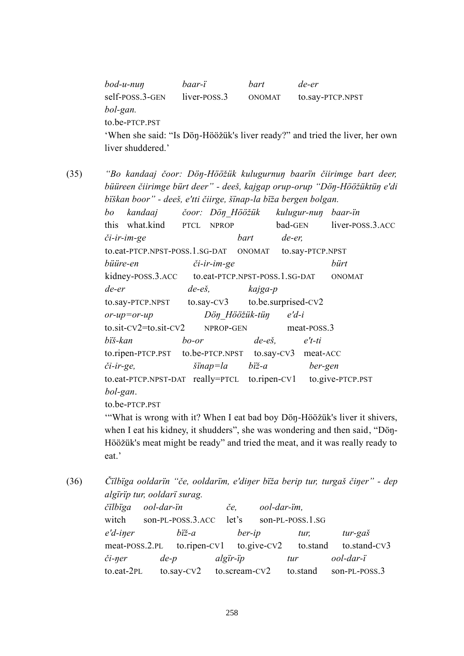| $b$ od-u-nu $\eta$ | baar-ï       | <i>hart</i>   | de-er                                                                       |
|--------------------|--------------|---------------|-----------------------------------------------------------------------------|
| self-POSS.3-GEN    | liver-poss.3 | <b>ONOMAT</b> | to.say-PTCP.NPST                                                            |
| bol-gan.           |              |               |                                                                             |
| to.be-PTCP.PST     |              |               |                                                                             |
|                    |              |               | 'When she said: "Is Dön-Höözük's liver ready?" and tried the liver, her own |
| liver shuddered.'  |              |               |                                                                             |

(35) *"Bo kandaaj čoor: Döŋ-Hööžük kulugurnuŋ baarïn čiirimge bart deer,* 

*büüreen čiirimge bürt deerˮ - deeš, kajgap orup-orup "Döŋ-Hööžüktüŋ e'di bïškan boorˮ - deeš, e'tti čiirge, šïnap-la bïža bergen bolgan. bo kandaaj čoor: Döŋ\_Hööžük kulugur-nuŋ baar-ïn* this what.kind PTCL NPROP bad-GEN liver-POSS.3.ACC *či-ir-im-ge bart de-er,* to.eat-PTCP.NPST-POSS.1.SG-DAT ONOMAT to.say-PTCP.NPST *büüre-en či-ir-im-ge bürt* kidney-POSS.3.ACC to.eat-PTCP.NPST-POSS.1.SG-DAT ONOMAT *de-er de-eš, kajga-p* to.say-PTCP.NPST to.say-CV3 to.be.surprised-CV2 *or-up=or-up Döŋ\_Hööžük-tüŋ e'd-i* to.sit-CV2=to.sit-CV2 NPROP-GEN meat-POSS.3 *bïš-kan bo-or de-eš, e't-ti* to.ripen-PTCP.PST to.be-PTCP.NPST to.say-CV3 meat-ACC *či-ir-ge, šïnap=la bïž-a ber-gen* to.eat-PTCP.NPST-DAT really=PTCL to.ripen-CV1 to.give-PTCP.PST *bol-gan*. to.be-PTCP.PST

'"What is wrong with it? When I eat bad boy Döŋ-Hööžük's liver it shivers, when I eat his kidney, it shudders", she was wondering and then said, "Dön-Hööžük's meat might be ready" and tried the meat, and it was really ready to eat.'

(36) *Čïlbïga ooldarïn "če, ooldarïm, e'diŋer bïža berip tur, turgaš čiŋerˮ - dep algïrïp tur, ooldarï surag.*

| čilbïga        | ool-dar-ïn |                                   | čе,      |        | ool-dar-im, |                                                |               |  |
|----------------|------------|-----------------------------------|----------|--------|-------------|------------------------------------------------|---------------|--|
| witch          |            | son-PL-POSS.3.ACC                 | let's    |        |             | son-PL-POSS.1.SG                               |               |  |
| e'd-iner       |            | biž-a                             |          | ber-ip |             | tur.                                           | tur-gaš       |  |
| meat-POSS.2.PL |            |                                   |          |        |             | to.ripen-CV1 to.give-CV2 to.stand to.stand-CV3 |               |  |
| či-ŋer         | $de-p$     |                                   | algir-ip |        |             | tur                                            | ool-dar-ï     |  |
| to.eat-2PL     |            | $to$ .say- $CV2$ to.scream- $CV2$ |          |        |             | to.stand                                       | son-PL-POSS.3 |  |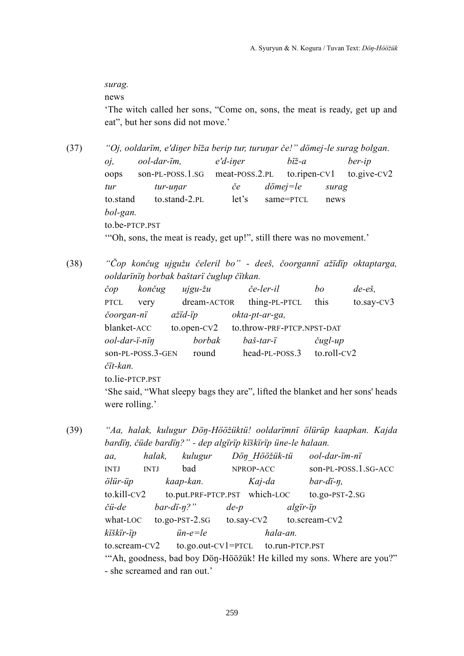*surag.*

news

'The witch called her sons, "Come on, sons, the meat is ready, get up and eat", but her sons did not move.'

(37) *"Oj, ooldarïm, e'diŋer bïža berip tur, turuŋar če!ˮ dömej-le surag bolgan. oj, ool-dar-ïm, e'd-iŋer bïž-a ber-ip* oops son-PL-POSS.1.SG meat-POSS.2.PL to.ripen-CV1 to.give-CV2 *tur tur-uŋar če dömej=le surag* to.stand to.stand-2.PL let's same=PTCL news *bol-gan.* to.be-PTCP.PST "Oh, sons, the meat is ready, get up!", still there was no movement.'

(38) *"Čop končug ujgužu čeleril boˮ - deeš, čoorgannï ažïdïp oktaptarga, ooldarïnïŋ borbak baštarï čuglup čïtkan.*

> *čop končug ujgu-žu če-ler-il bo de-eš,* PTCL very dream-ACTOR thing-PL-PTCL this to.say-CV3 *čoorgan-nï ažïd-ïp okta-pt-ar-ga,* blanket-ACC to.open-CV2 to.throw-PRF-PTCP.NPST-DAT *ool-dar-ï-nïŋ borbak baš-tar-ï čugl-up* son-PL-POSS.3-GEN round head-PL-POSS.3 to.roll-CV2 *čït-kan.* to.lie-PTCP.PST 'She said, "What sleepy bags they are", lifted the blanket and her sons' heads were rolling.'

(39) *"Aa, halak, kulugur Döŋ-Hööžüktü! ooldarïmnï ölürüp kaapkan. Kajda bardïŋ, čüde bardïŋ?ˮ - dep algïrïp kïškïrïp üne-le halaan.*

| aa,                                                       | halak,                      | kulugur                                          | Dön Hööžük-tü |                               |             | ool-dar-ïm-nï                                                         |
|-----------------------------------------------------------|-----------------------------|--------------------------------------------------|---------------|-------------------------------|-------------|-----------------------------------------------------------------------|
| INTJ                                                      | bad<br><b>INTJ</b>          |                                                  | NPROP-ACC     |                               |             | son-PL-POSS.1.SG-ACC                                                  |
| ölür-üp                                                   | kaap-kan.                   |                                                  | Kaj-da        |                               |             | $bar\text{-}di\text{-}n$ ,                                            |
| to.kill-CV2                                               |                             |                                                  |               | to.put.PRF-PTCP.PST which-LOC |             | $to.$ go-PST- $2.$ SG                                                 |
| čü-de                                                     | $bar\text{-}di\text{-}n?$ " |                                                  | $de-p$        |                               | $algir$ -ip |                                                                       |
|                                                           |                             | what-LOC to.go-PST-2.sG to.say-CV2 to.scream-CV2 |               |                               |             |                                                                       |
| kïškïr-ïp                                                 |                             | $i$ n-e=le                                       |               | hala-an.                      |             |                                                                       |
| $to.$ scream-CV2 $to.$ go.out-CV1=PTCL $to.$ run-PTCP.PST |                             |                                                  |               |                               |             |                                                                       |
|                                                           |                             |                                                  |               |                               |             | "Ah, goodness, bad boy Dön-Hööžük! He killed my sons. Where are you?" |
|                                                           |                             | - she screamed and ran out.'                     |               |                               |             |                                                                       |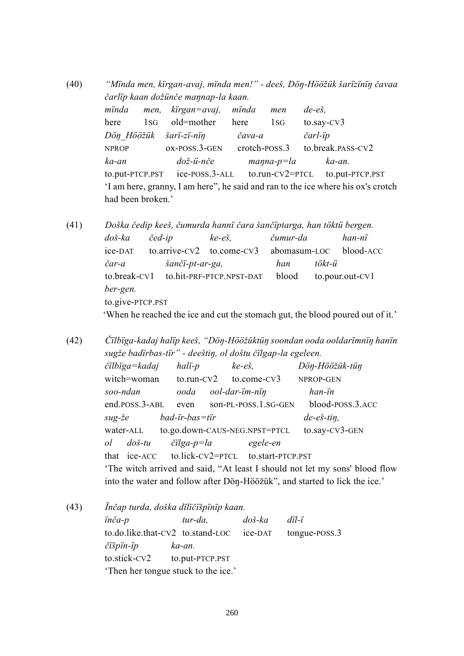(40) *"Mïnda men, kïrgan-avaj, mïnda men!ˮ - deeš, Döŋ-Hööžük šarïzïnïŋ čavaa čarlïp kaan dožünče maŋnap-la kaan. mïnda men, kïrgan=avaj, mïnda men de-eš,* here 1sG old=mother here 1sG to.say-CV3 *Döŋ\_Hööžük šarï-zï-nïŋ čava-a čarl-ïp* NPROP ox-POSS.3-GEN crotch-POSS.3 to.break.PASS-CV2 *ka-an dož-ü-nče maŋna-p=la ka-an.* to.put-PTCP.PST ice-POSS.3-ALL to.run-CV2=PTCL to.put-PTCP.PST 'I am here, granny, I am here", he said and ran to the ice where his ox's crotch had been broken.'

(41) *Doška čedip keeš, čumurda hannï čara šančïptarga, han töktü bergen. doš-ka čed-ip ke-eš, čumur-da han-nï* ice-DAT to.arrive-CV2 to.come-CV3 abomasum-LOC blood-ACC *čar-a šančï-pt-ar-ga, han tökt-ü* to.break-CV1 to.hit-PRF-PTCP.NPST-DAT blood to.pour.out-CV1 *ber-gen.* to.give-PTCP.PST 'When he reached the ice and cut the stomach gut, the blood poured out of it.'

(42) *Čïlbïga-kadaj halïp keeš, "Döŋ-Hööžüktüŋ soondan ooda ooldarïmnïŋ hanïn sugže badïrbas-tïrˮ - deeštiŋ, ol doštu čïlgap-la egeleen. čïlbïga=kadaj halï-p ke-eš, Döŋ-Hööžük-tüŋ* witch=woman to.run-CV2 to.come-CV3 NPROP-GEN *soo-ndan ooda ool-dar-ïm-nïŋ han-ïn* end.POSS.3-ABL even son-PL-POSS.1.SG-GEN blood-POSS.3.ACC *sug-že bad-ïr-bas=tïr de-eš-tiŋ,* water-ALL to.go.down-CAUS-NEG.NPST=PTCL to.say-CV3-GEN *ol doš-tu čïlga-p=la egele-en* that ice-ACC to.lick-CV2=PTCL to.start-PTCP.PST 'The witch arrived and said, "At least I should not let my sons' blood flow into the water and follow after Dön-Hööžük", and started to lick the ice.'

(43) *Ïnčap turda, doška dïlïčïšpïnïp kaan. ïnča-p tur-da, doš-ka dïl-ï* to.do.like.that-CV2 to.stand-LOC ice-DAT tongue-POSS.3 *čïšpïn-ïp ka-an.* to.stick-CV2 to.put-PTCP.PST 'Then her tongue stuck to the ice.'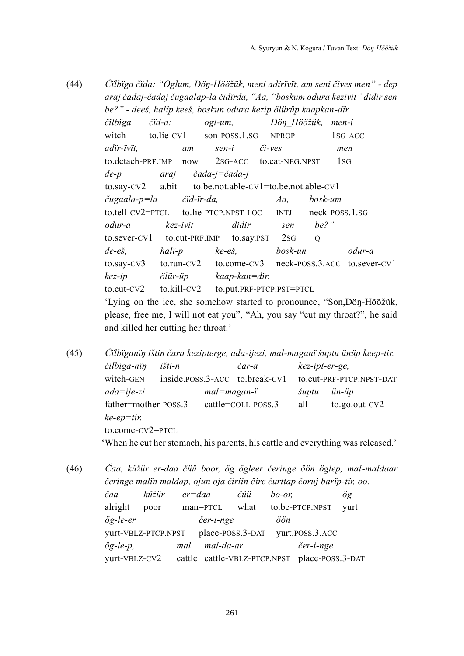- (44) *Čïlbïga čïda: "Oglum, Döŋ-Hööžük, meni adïrïvït, am seni čives menˮ - dep araj čadaj-čadaj čugaalap-la čïdïrda, "Aa, "boskum odura kezivitˮ didir sen be?ˮ - deeš, halïp keeš, boskun odura kezip ölürüp kaapkan-dïr. čïlbïga čïd-a: ogl-um, Döŋ\_Hööžük, men-i* witch to.lie-CV1 son-POSS, 1.SG NPROP 1SG-ACC *adïr-ïvït, am sen-i či-ves men* to.detach-PRF.IMP now 2SG-ACC to.eat-NEG.NPST 1SG *de-p araj čada-j=čada-j* to.say-CV2 a.bit to.be.not.able-CV1=to.be.not.able-CV1 *čugaala-p=la čïd-ïr-da, Aa, bosk-um* to.tell-CV2=PTCL to.lie-PTCP.NPST-LOC INTJ neck-POSS.1.SG *odur-a kez-ivit didir sen be?ˮ* to.sever-CV1 to.cut-PRF.IMP to.say.PST 2SG Q *de-eš, halï-p ke-eš, bosk-un odur-a* to.say-CV3 to.run-CV2 to.come-CV3 neck-POSS.3.ACC to.sever-CV1 *kez-ip ölür-üp kaap-kan=dïr.* to.cut-CV2 to.kill-CV2 to.put.PRF-PTCP.PST=PTCL 'Lying on the ice, she somehow started to pronounce, "Son,Döŋ-Hööžük, please, free me, I will not eat you", "Ah, you say "cut my throat?", he said and killed her cutting her throat.'
- (45) *Čïlbïganïŋ ištin čara kezipterge, ada-ijezi, mal-maganï šuptu ünüp keep-tir. čïlbïga-nïŋ išti-n čar-a kez-ipt-er-ge,* witch-GEN inside.POSS.3-ACC to.break-CV1 to.cut-PRF-PTCP.NPST-DAT *ada=ije-zi mal=magan-ï šuptu ün-üp* father=mother-POSS.3 cattle=COLL-POSS.3 all to.go.out-CV2 *ke-ep=tir.* to.come-CV2=PTCL 'When he cut her stomach, his parents, his cattle and everything was released.'
- (46) *Čaa, küžür er-daa čüü boor, ög ögleer čeringe öön öglep, mal-maldaar čeringe malïn maldap, ojun oja čiriin čire čurttap čoruj barïp-tïr, oo. čaa küžür er=daa čüü bo-or, ög* alright poor man=PTCL what to.be-PTCP.NPST yurt *ög-le-er čer-i-nge öön* yurt-VBLZ-PTCP.NPST place-POSS.3-DAT yurt.POSS.3.ACC *ög-le-p, mal mal-da-ar čer-i-nge* yurt-VBLZ-CV2 cattle cattle-VBLZ-PTCP.NPST place-POSS.3-DAT